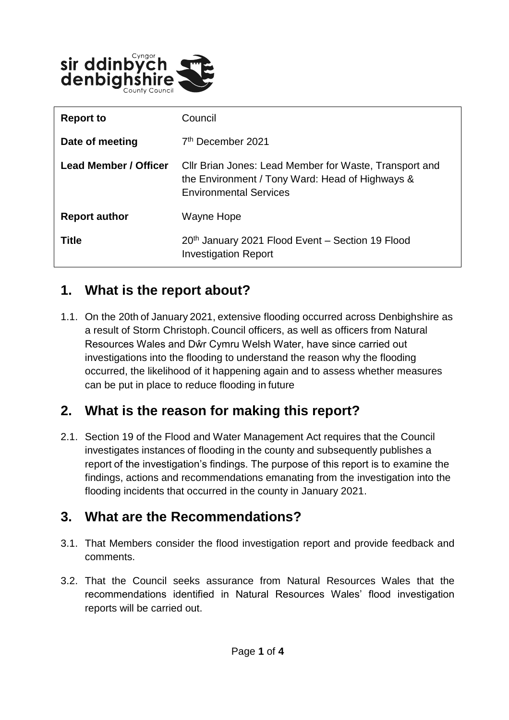

| <b>Report to</b>      | Council                                                                                                                                    |
|-----------------------|--------------------------------------------------------------------------------------------------------------------------------------------|
| Date of meeting       | 7 <sup>th</sup> December 2021                                                                                                              |
| Lead Member / Officer | Cllr Brian Jones: Lead Member for Waste, Transport and<br>the Environment / Tony Ward: Head of Highways &<br><b>Environmental Services</b> |
| <b>Report author</b>  | Wayne Hope                                                                                                                                 |
| <b>Title</b>          | 20th January 2021 Flood Event - Section 19 Flood<br><b>Investigation Report</b>                                                            |

#### **1. What is the report about?**

1.1. On the 20th of January 2021, extensive flooding occurred across Denbighshire as a result of Storm Christoph. Council officers, as well as officers from Natural Resources Wales and Dŵr Cymru Welsh Water, have since carried out investigations into the flooding to understand the reason why the flooding occurred, the likelihood of it happening again and to assess whether measures can be put in place to reduce flooding in future

#### **2. What is the reason for making this report?**

2.1. Section 19 of the Flood and Water Management Act requires that the Council investigates instances of flooding in the county and subsequently publishes a report of the investigation's findings. The purpose of this report is to examine the findings, actions and recommendations emanating from the investigation into the flooding incidents that occurred in the county in January 2021.

#### **3. What are the Recommendations?**

- 3.1. That Members consider the flood investigation report and provide feedback and comments.
- 3.2. That the Council seeks assurance from Natural Resources Wales that the recommendations identified in Natural Resources Wales' flood investigation reports will be carried out.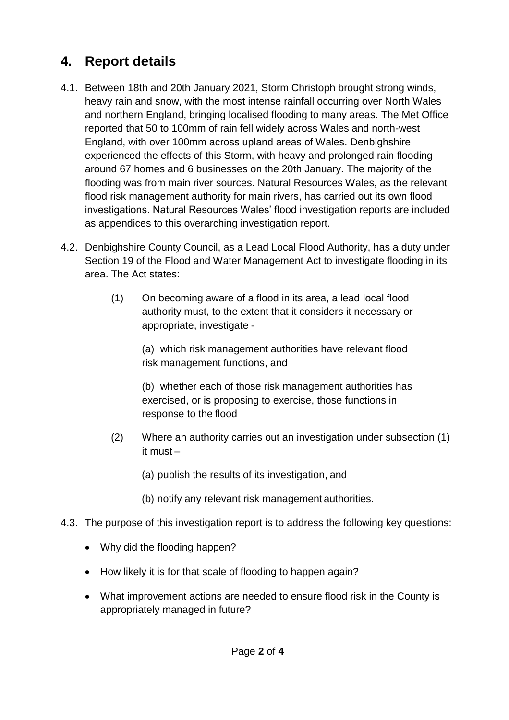## **4. Report details**

- 4.1. Between 18th and 20th January 2021, Storm Christoph brought strong winds, heavy rain and snow, with the most intense rainfall occurring over North Wales and northern England, bringing localised flooding to many areas. The Met Office reported that 50 to 100mm of rain fell widely across Wales and north-west England, with over 100mm across upland areas of Wales. Denbighshire experienced the effects of this Storm, with heavy and prolonged rain flooding around 67 homes and 6 businesses on the 20th January. The majority of the flooding was from main river sources. Natural Resources Wales, as the relevant flood risk management authority for main rivers, has carried out its own flood investigations. Natural Resources Wales' flood investigation reports are included as appendices to this overarching investigation report.
- 4.2. Denbighshire County Council, as a Lead Local Flood Authority, has a duty under Section 19 of the Flood and Water Management Act to investigate flooding in its area. The Act states:
	- (1) On becoming aware of a flood in its area, a lead local flood authority must, to the extent that it considers it necessary or appropriate, investigate -

(a) which risk management authorities have relevant flood risk management functions, and

(b) whether each of those risk management authorities has exercised, or is proposing to exercise, those functions in response to the flood

- (2) Where an authority carries out an investigation under subsection (1) it must –
	- (a) publish the results of its investigation, and
	- (b) notify any relevant risk management authorities.
- 4.3. The purpose of this investigation report is to address the following key questions:
	- Why did the flooding happen?
	- How likely it is for that scale of flooding to happen again?
	- What improvement actions are needed to ensure flood risk in the County is appropriately managed in future?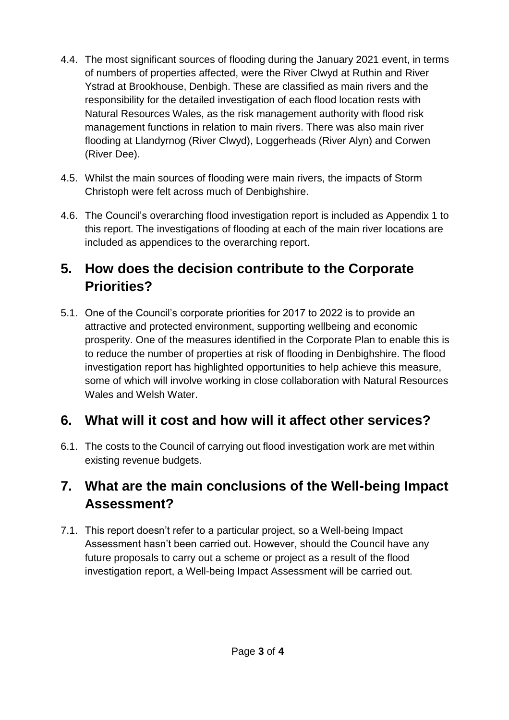- 4.4. The most significant sources of flooding during the January 2021 event, in terms of numbers of properties affected, were the River Clwyd at Ruthin and River Ystrad at Brookhouse, Denbigh. These are classified as main rivers and the responsibility for the detailed investigation of each flood location rests with Natural Resources Wales, as the risk management authority with flood risk management functions in relation to main rivers. There was also main river flooding at Llandyrnog (River Clwyd), Loggerheads (River Alyn) and Corwen (River Dee).
- 4.5. Whilst the main sources of flooding were main rivers, the impacts of Storm Christoph were felt across much of Denbighshire.
- 4.6. The Council's overarching flood investigation report is included as Appendix 1 to this report. The investigations of flooding at each of the main river locations are included as appendices to the overarching report.

### **5. How does the decision contribute to the Corporate Priorities?**

5.1. One of the Council's corporate priorities for 2017 to 2022 is to provide an attractive and protected environment, supporting wellbeing and economic prosperity. One of the measures identified in the Corporate Plan to enable this is to reduce the number of properties at risk of flooding in Denbighshire. The flood investigation report has highlighted opportunities to help achieve this measure, some of which will involve working in close collaboration with Natural Resources Wales and Welsh Water.

## **6. What will it cost and how will it affect other services?**

6.1. The costs to the Council of carrying out flood investigation work are met within existing revenue budgets.

## **7. What are the main conclusions of the Well-being Impact Assessment?**

7.1. This report doesn't refer to a particular project, so a Well-being Impact Assessment hasn't been carried out. However, should the Council have any future proposals to carry out a scheme or project as a result of the flood investigation report, a Well-being Impact Assessment will be carried out.